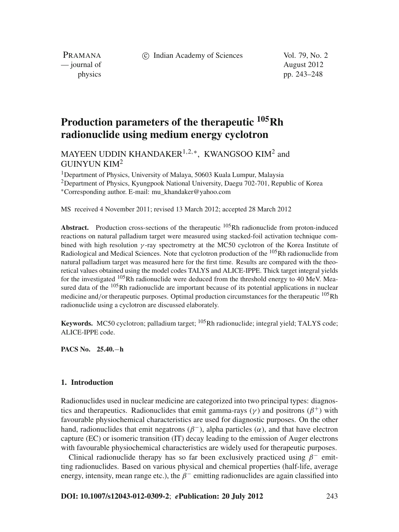c Indian Academy of Sciences Vol. 79, No. 2

PRAMANA — journal of August 2012

physics pp. 243–248

# **Production parameters of the therapeutic 105Rh radionuclide using medium energy cyclotron**

MAYEEN UDDIN KHANDAKER<sup>1,2,∗</sup>, KWANGSOO KIM<sup>2</sup> and GUINYUN KIM2

<sup>1</sup>Department of Physics, University of Malaya, 50603 Kuala Lumpur, Malaysia 2Department of Physics, Kyungpook National University, Daegu 702-701, Republic of Korea <sup>∗</sup>Corresponding author. E-mail: mu\_khandaker@yahoo.com

MS received 4 November 2011; revised 13 March 2012; accepted 28 March 2012

**Abstract.** Production cross-sections of the therapeutic <sup>105</sup>Rh radionuclide from proton-induced reactions on natural palladium target were measured using stacked-foil activation technique combined with high resolution  $\gamma$ -ray spectrometry at the MC50 cyclotron of the Korea Institute of Radiological and Medical Sciences. Note that cyclotron production of the <sup>105</sup>Rh radionuclide from natural palladium target was measured here for the first time. Results are compared with the theoretical values obtained using the model codes TALYS and ALICE-IPPE. Thick target integral yields for the investigated  $105\text{Rh}$  radionuclide were deduced from the threshold energy to 40 MeV. Measured data of the  $105$ Rh radionuclide are important because of its potential applications in nuclear medicine and/or therapeutic purposes. Optimal production circumstances for the therapeutic <sup>105</sup>Rh radionuclide using a cyclotron are discussed elaborately.

**Keywords.** MC50 cyclotron; palladium target; 105Rh radionuclide; integral yield; TALYS code; ALICE-IPPE code.

**PACS No. 25.40.**−**h**

# **1. Introduction**

Radionuclides used in nuclear medicine are categorized into two principal types: diagnostics and therapeutics. Radionuclides that emit gamma-rays ( $\gamma$ ) and positrons ( $\beta^+$ ) with favourable physiochemical characteristics are used for diagnostic purposes. On the other hand, radionuclides that emit negatrons  $(\beta^-)$ , alpha particles  $(\alpha)$ , and that have electron capture (EC) or isomeric transition (IT) decay leading to the emission of Auger electrons with favourable physiochemical characteristics are widely used for therapeutic purposes.

Clinical radionuclide therapy has so far been exclusively practiced using  $\beta^-$  emitting radionuclides. Based on various physical and chemical properties (half-life, average energy, intensity, mean range etc.), the  $\beta^-$  emitting radionuclides are again classified into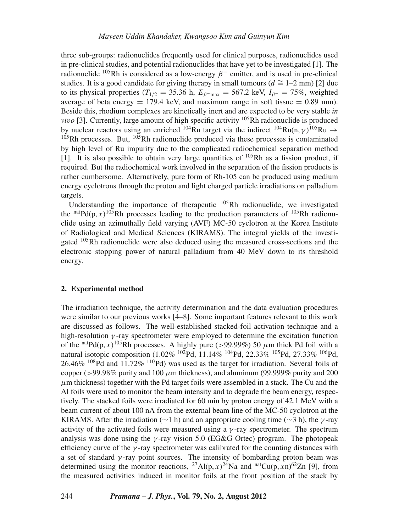three sub-groups: radionuclides frequently used for clinical purposes, radionuclides used in pre-clinical studies, and potential radionuclides that have yet to be investigated [1]. The radionuclide <sup>105</sup>Rh is considered as a low-energy  $\beta^-$  emitter, and is used in pre-clinical studies. It is a good candidate for giving therapy in small tumours ( $d \approx 1-2$  mm) [2] due to its physical properties ( $T_{1/2} = 35.36$  h,  $E_{\beta-\text{max}} = 567.2$  keV,  $I_{\beta-} = 75\%$ , weighted average of beta energy  $= 179.4$  keV, and maximum range in soft tissue  $= 0.89$  mm). Beside this, rhodium complexes are kinetically inert and are expected to be very stable *in vivo* [3]. Currently, large amount of high specific activity <sup>105</sup>Rh radionuclide is produced by nuclear reactors using an enriched  $104$ Ru target via the indirect  $104$ Ru(n,  $\gamma$ ) $105$ Ru  $\rightarrow$  $105$ Rh processes. But,  $105$ Rh radionuclide produced via these processes is contaminated by high level of Ru impurity due to the complicated radiochemical separation method [1]. It is also possible to obtain very large quantities of  $105$ Rh as a fission product, if required. But the radiochemical work involved in the separation of the fission products is rather cumbersome. Alternatively, pure form of Rh-105 can be produced using medium energy cyclotrons through the proton and light charged particle irradiations on palladium targets.

Understanding the importance of therapeutic <sup>105</sup>Rh radionuclide, we investigated the <sup>nat</sup>Pd(p, *x*)<sup>105</sup>Rh processes leading to the production parameters of <sup>105</sup>Rh radionuclide using an azimuthally field varying (AVF) MC-50 cyclotron at the Korea Institute of Radiological and Medical Sciences (KIRAMS). The integral yields of the investigated <sup>105</sup>Rh radionuclide were also deduced using the measured cross-sections and the electronic stopping power of natural palladium from 40 MeV down to its threshold energy.

# **2. Experimental method**

The irradiation technique, the activity determination and the data evaluation procedures were similar to our previous works [4–8]. Some important features relevant to this work are discussed as follows. The well-established stacked-foil activation technique and a high-resolution  $\gamma$ -ray spectrometer were employed to determine the excitation function of the <sup>nat</sup>Pd(p, *x*)<sup>105</sup>Rh processes. A highly pure (>99.99%) 50  $\mu$ m thick Pd foil with a natural isotopic composition (1.02% <sup>102</sup>Pd, 11.14% <sup>104</sup>Pd, 22.33% <sup>105</sup>Pd, 27.33% <sup>106</sup>Pd, 26.46%  $^{108}$ Pd and 11.72%  $^{110}$ Pd) was used as the target for irradiation. Several foils of copper ( $>99.98\%$  purity and 100  $\mu$ m thickness), and aluminum (99.999% purity and 200  $\mu$ m thickness) together with the Pd target foils were assembled in a stack. The Cu and the Al foils were used to monitor the beam intensity and to degrade the beam energy, respectively. The stacked foils were irradiated for 60 min by proton energy of 42.1 MeV with a beam current of about 100 nA from the external beam line of the MC-50 cyclotron at the KIRAMS. After the irradiation (∼1 h) and an appropriate cooling time (∼3 h), the  $\gamma$ -ray activity of the activated foils were measured using a  $\gamma$ -ray spectrometer. The spectrum analysis was done using the  $\gamma$ -ray vision 5.0 (EG&G Ortec) program. The photopeak efficiency curve of the  $\gamma$ -ray spectrometer was calibrated for the counting distances with a set of standard  $\gamma$ -ray point sources. The intensity of bombarding proton beam was determined using the monitor reactions, <sup>27</sup>Al(p, *x*)<sup>24</sup>Na and <sup>nat</sup>Cu(p, *x*n)<sup>62</sup>Zn [9], from the measured activities induced in monitor foils at the front position of the stack by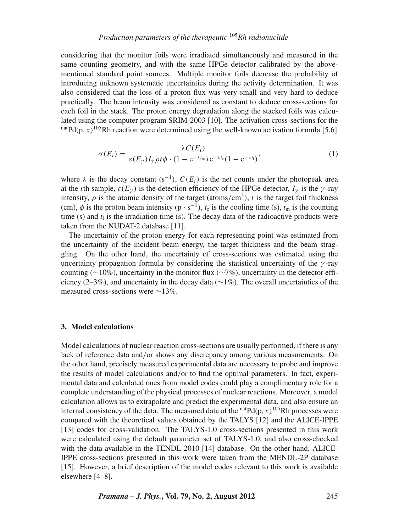# *Production parameters of the therapeutic* <sup>105</sup>*Rh radionuclide*

considering that the monitor foils were irradiated simultaneously and measured in the same counting geometry, and with the same HPGe detector calibrated by the abovementioned standard point sources. Multiple monitor foils decrease the probability of introducing unknown systematic uncertainties during the activity determination. It was also considered that the loss of a proton flux was very small and very hard to deduce practically. The beam intensity was considered as constant to deduce cross-sections for each foil in the stack. The proton energy degradation along the stacked foils was calculated using the computer program SRIM-2003 [10]. The activation cross-sections for the  $n \text{atPd}(p, x)$ <sup>105</sup>Rh reaction were determined using the well-known activation formula [5,6]

$$
\sigma(E_i) = \frac{\lambda C(E_i)}{\varepsilon(E_\gamma) I_\gamma \rho t \phi \cdot (1 - e^{-\lambda t_m}) e^{-\lambda t_c} (1 - e^{-\lambda t_i})},\tag{1}
$$

where  $\lambda$  is the decay constant (s<sup>-1</sup>),  $C(E_i)$  is the net counts under the photopeak area at the *i*th sample,  $\varepsilon(E_v)$  is the detection efficiency of the HPGe detector,  $I_v$  is the *γ*-ray intensity,  $\rho$  is the atomic density of the target (atoms/cm<sup>3</sup>), *t* is the target foil thickness (cm),  $\phi$  is the proton beam intensity (p · s<sup>-1</sup>),  $t_c$  is the cooling time (s),  $t_m$  is the counting time  $(s)$  and  $t_i$  is the irradiation time  $(s)$ . The decay data of the radioactive products were taken from the NUDAT-2 database [11].

The uncertainty of the proton energy for each representing point was estimated from the uncertainty of the incident beam energy, the target thickness and the beam straggling. On the other hand, the uncertainty of cross-sections was estimated using the uncertainty propagation formula by considering the statistical uncertainty of the  $\gamma$ -ray counting ( $∼10\%)$ , uncertainty in the monitor flux ( $∼7\%)$ , uncertainty in the detector efficiency (2–3%), and uncertainty in the decay data ( $\sim$ 1%). The overall uncertainties of the measured cross-sections were ∼13%.

#### **3. Model calculations**

Model calculations of nuclear reaction cross-sections are usually performed, if there is any lack of reference data and/or shows any discrepancy among various measurements. On the other hand, precisely measured experimental data are necessary to probe and improve the results of model calculations and/or to find the optimal parameters. In fact, experimental data and calculated ones from model codes could play a complimentary role for a complete understanding of the physical processes of nuclear reactions. Moreover, a model calculation allows us to extrapolate and predict the experimental data, and also ensure an internal consistency of the data. The measured data of the  $n \text{atPd}(p, x)$ <sup>105</sup>Rh processes were compared with the theoretical values obtained by the TALYS [12] and the ALICE-IPPE [13] codes for cross-validation. The TALYS-1.0 cross-sections presented in this work were calculated using the default parameter set of TALYS-1.0, and also cross-checked with the data available in the TENDL-2010 [14] database. On the other hand, ALICE-IPPE cross-sections presented in this work were taken from the MENDL-2P database [15]. However, a brief description of the model codes relevant to this work is available elsewhere [4–8].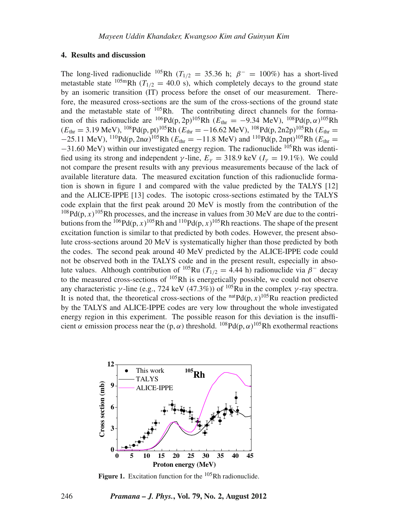#### **4. Results and discussion**

The long-lived radionuclide <sup>105</sup>Rh ( $T_{1/2}$  = 35.36 h;  $\beta^-$  = 100%) has a short-lived metastable state <sup>105m</sup>Rh ( $T_{1/2}$  = 40.0 s), which completely decays to the ground state by an isomeric transition (IT) process before the onset of our measurement. Therefore, the measured cross-sections are the sum of the cross-sections of the ground state and the metastable state of  $105$ Rh. The contributing direct channels for the formation of this radionuclide are <sup>106</sup>Pd(p, 2p)<sup>105</sup>Rh ( $E_{\text{thr}} = -9.34$  MeV), <sup>108</sup>Pd(p,  $\alpha$ )<sup>105</sup>Rh  $(E_{\text{thr}} = 3.19 \text{ MeV})$ ,  $^{108}$ Pd(p, pt)<sup>105</sup>Rh ( $E_{\text{thr}} = -16.62 \text{ MeV}$ ),  $^{108}$ Pd(p, 2n2p)<sup>105</sup>Rh ( $E_{\text{thr}} =$  $-25.11$  MeV), <sup>110</sup>Pd(p, 2n $\alpha$ )<sup>105</sup>Rh ( $E_{\text{thr}} = -11.8$  MeV) and <sup>110</sup>Pd(p, 2npt)<sup>105</sup>Rh ( $E_{\text{thr}} =$ −31.60 MeV) within our investigated energy region. The radionuclide <sup>105</sup>Rh was identified using its strong and independent  $\gamma$ -line,  $E_{\gamma} = 318.9 \text{ keV } (I_{\gamma} = 19.1\%)$ . We could not compare the present results with any previous measurements because of the lack of available literature data. The measured excitation function of this radionuclide formation is shown in figure 1 and compared with the value predicted by the TALYS [12] and the ALICE-IPPE [13] codes. The isotopic cross-sections estimated by the TALYS code explain that the first peak around 20 MeV is mostly from the contribution of the  $^{108}Pd(p, x)^{105}$ Rh processes, and the increase in values from 30 MeV are due to the contributions from the <sup>106</sup>Pd(p, *x*)<sup>105</sup>Rh and <sup>110</sup>Pd(p, *x*)<sup>105</sup>Rh reactions. The shape of the present excitation function is similar to that predicted by both codes. However, the present absolute cross-sections around 20 MeV is systematically higher than those predicted by both the codes. The second peak around 40 MeV predicted by the ALICE-IPPE code could not be observed both in the TALYS code and in the present result, especially in absolute values. Although contribution of <sup>105</sup>Ru ( $T_{1/2} = 4.44$  h) radionuclide via  $\beta^-$  decay to the measured cross-sections of  $105$ Rh is energetically possible, we could not observe any characteristic γ-line (e.g., 724 keV (47.3%)) of  $^{105}$ Ru in the complex γ-ray spectra. It is noted that, the theoretical cross-sections of the  $<sup>nat</sup>Pd(p, x)<sup>105</sup>Ru$  reaction predicted</sup> by the TALYS and ALICE-IPPE codes are very low throughout the whole investigated energy region in this experiment. The possible reason for this deviation is the insufficient  $\alpha$  emission process near the (p,  $\alpha$ ) threshold. <sup>108</sup>Pd(p,  $\alpha$ )<sup>105</sup>Rh exothermal reactions



**Figure 1.** Excitation function for the  $105$ Rh radionuclide.

246 *Pramana – J. Phys.***, Vol. 79, No. 2, August 2012**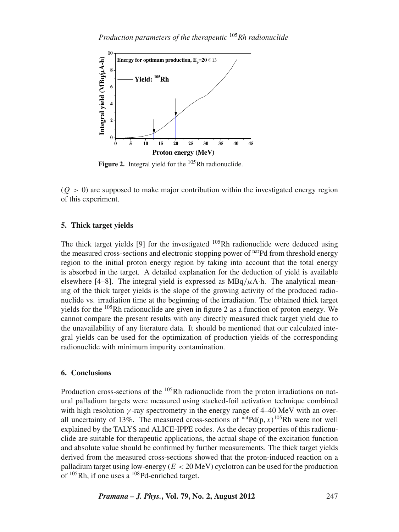

Figure 2. Integral yield for the <sup>105</sup>Rh radionuclide.

 $(Q > 0)$  are supposed to make major contribution within the investigated energy region of this experiment.

# **5. Thick target yields**

The thick target yields [9] for the investigated  $105Rh$  radionuclide were deduced using the measured cross-sections and electronic stopping power of natPd from threshold energy region to the initial proton energy region by taking into account that the total energy is absorbed in the target. A detailed explanation for the deduction of yield is available elsewhere [4–8]. The integral yield is expressed as  $MBq/\mu A \cdot h$ . The analytical meaning of the thick target yields is the slope of the growing activity of the produced radionuclide vs. irradiation time at the beginning of the irradiation. The obtained thick target yields for the  $105\text{Rh}$  radionuclide are given in figure 2 as a function of proton energy. We cannot compare the present results with any directly measured thick target yield due to the unavailability of any literature data. It should be mentioned that our calculated integral yields can be used for the optimization of production yields of the corresponding radionuclide with minimum impurity contamination.

#### **6. Conclusions**

Production cross-sections of the  $105$ Rh radionuclide from the proton irradiations on natural palladium targets were measured using stacked-foil activation technique combined with high resolution  $\gamma$ -ray spectrometry in the energy range of 4–40 MeV with an overall uncertainty of 13%. The measured cross-sections of  $<sup>nat</sup>Pd(p, x)<sup>105</sup>Rh$  were not well</sup> explained by the TALYS and ALICE-IPPE codes. As the decay properties of this radionuclide are suitable for therapeutic applications, the actual shape of the excitation function and absolute value should be confirmed by further measurements. The thick target yields derived from the measured cross-sections showed that the proton-induced reaction on a palladium target using low-energy  $(E < 20 \text{ MeV})$  cyclotron can be used for the production of  $105$ Rh, if one uses a  $108$ Pd-enriched target.